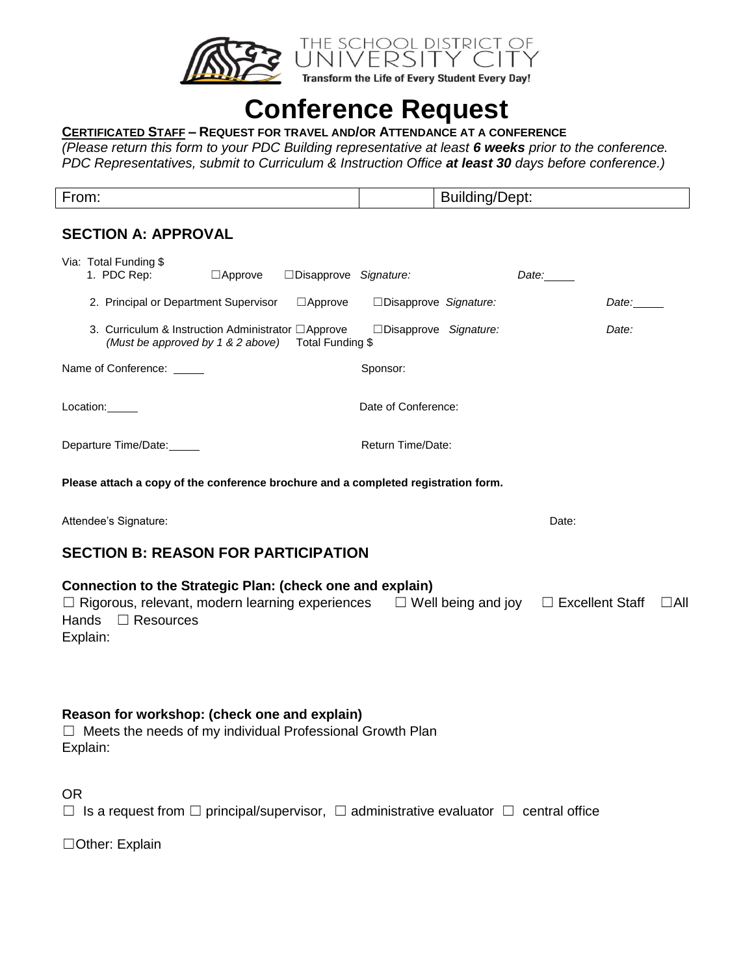

# **Conference Request**

## **CERTIFICATED STAFF – REQUEST FOR TRAVEL AND/OR ATTENDANCE AT A CONFERENCE**

*(Please return this form to your PDC Building representative at least 6 weeks prior to the conference. PDC Representatives, submit to Curriculum & Instruction Office at least 30 days before conference.)*

| From:<br>_______ | $\overline{\phantom{0}}$<br>Jept:<br>/nnir<br>ווחוווא |
|------------------|-------------------------------------------------------|

# **SECTION A: APPROVAL**

|              | Via: Total Funding \$<br>1. PDC Rep:       |                           | $\Box$ Approve                                                                           | $\square$ Disapprove Signature:                                                                                                                                      |          |                     |                         | Date: |             |               |
|--------------|--------------------------------------------|---------------------------|------------------------------------------------------------------------------------------|----------------------------------------------------------------------------------------------------------------------------------------------------------------------|----------|---------------------|-------------------------|-------|-------------|---------------|
|              |                                            |                           | 2. Principal or Department Supervisor                                                    | $\Box$ Approve                                                                                                                                                       |          |                     | □ Disapprove Signature: |       | Date: _____ |               |
|              |                                            |                           | 3. Curriculum & Instruction Administrator □ Approve<br>(Must be approved by 1 & 2 above) | Total Funding \$                                                                                                                                                     |          |                     | □Disapprove Signature:  |       | Date:       |               |
|              |                                            | Name of Conference: _____ |                                                                                          |                                                                                                                                                                      | Sponsor: |                     |                         |       |             |               |
|              | Location:                                  |                           |                                                                                          |                                                                                                                                                                      |          | Date of Conference: |                         |       |             |               |
|              |                                            | Departure Time/Date:      |                                                                                          |                                                                                                                                                                      |          | Return Time/Date:   |                         |       |             |               |
|              |                                            |                           |                                                                                          | Please attach a copy of the conference brochure and a completed registration form.                                                                                   |          |                     |                         |       |             |               |
|              | Attendee's Signature:<br>Date:             |                           |                                                                                          |                                                                                                                                                                      |          |                     |                         |       |             |               |
|              | <b>SECTION B: REASON FOR PARTICIPATION</b> |                           |                                                                                          |                                                                                                                                                                      |          |                     |                         |       |             |               |
| <b>Hands</b> | Explain:                                   | $\Box$ Resources          |                                                                                          | Connection to the Strategic Plan: (check one and explain)<br>$\Box$ Rigorous, relevant, modern learning experiences $\Box$ Well being and joy $\Box$ Excellent Staff |          |                     |                         |       |             | $\square$ All |
|              | Explain:                                   |                           |                                                                                          | Reason for workshop: (check one and explain)<br>Meets the needs of my individual Professional Growth Plan                                                            |          |                     |                         |       |             |               |
| 0R           |                                            |                           |                                                                                          |                                                                                                                                                                      |          |                     |                         |       |             |               |

|  | $\Box$ Is a request from $\Box$ principal/supervisor, $\Box$ administrative evaluator $\Box$ central office |  |
|--|-------------------------------------------------------------------------------------------------------------|--|
|  |                                                                                                             |  |

☐Other: Explain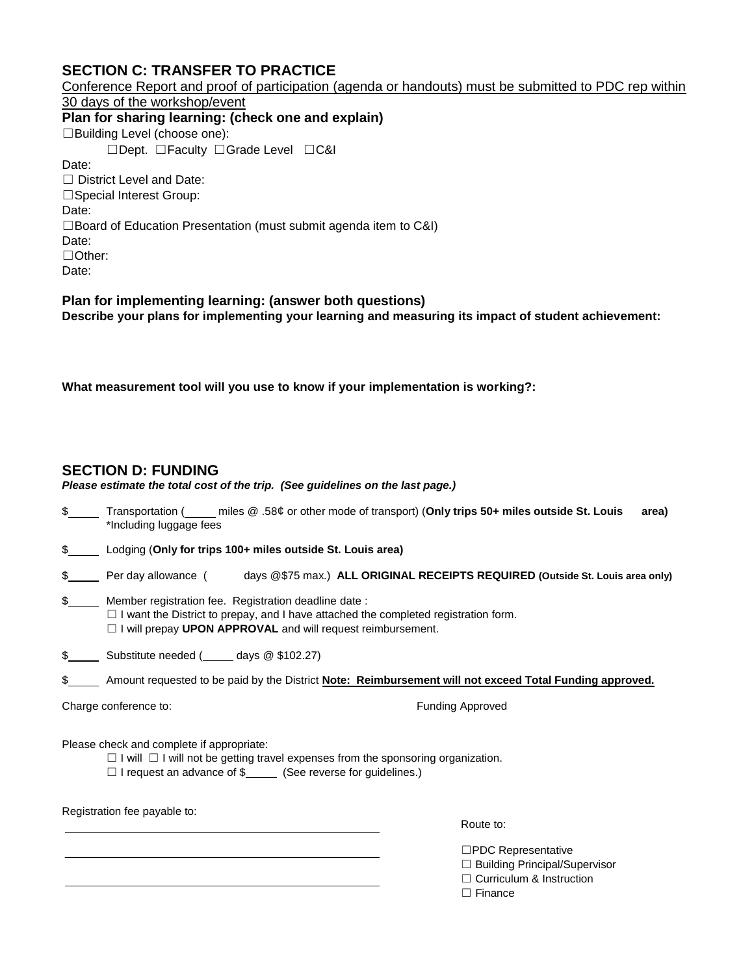# **SECTION C: TRANSFER TO PRACTICE**

Conference Report and proof of participation (agenda or handouts) must be submitted to PDC rep within 30 days of the workshop/event **Plan for sharing learning: (check one and explain)**  ☐Building Level (choose one): ☐Dept. ☐Faculty ☐Grade Level ☐C&I Date: ☐ District Level and Date: □Special Interest Group: Date: ☐Board of Education Presentation (must submit agenda item to C&I) Date: ☐Other: Date:

**Plan for implementing learning: (answer both questions) Describe your plans for implementing your learning and measuring its impact of student achievement:**

**What measurement tool will you use to know if your implementation is working?:** 

## **SECTION D: FUNDING**

| Please estimate the total cost of the trip. (See guidelines on the last page.) |  |
|--------------------------------------------------------------------------------|--|
|                                                                                |  |

| Transportation (        |  |  | miles @ .58¢ or other mode of transport) (Only trips 50+ miles outside St. Louis | area) |
|-------------------------|--|--|----------------------------------------------------------------------------------|-------|
| *Including luggage fees |  |  |                                                                                  |       |

\$Lodging (**Only for trips 100+ miles outside St. Louis area)**

|  | Per dav allowance ( |  | days @\$75 max.) ALL ORIGINAL RECEIPTS REQUIRED (Outside St. Louis area only) |
|--|---------------------|--|-------------------------------------------------------------------------------|
|--|---------------------|--|-------------------------------------------------------------------------------|

\$Member registration fee. Registration deadline date : □ I want the District to prepay, and I have attached the completed registration form. ☐ I will prepay **UPON APPROVAL** and will request reimbursement.

\$\_\_\_\_\_\_\_ Substitute needed (\_\_\_\_\_\_ days @ \$102.27)

\$\_\_\_\_\_\_ Amount requested to be paid by the District **Note: Reimbursement will not exceed Total Funding approved.** 

Charge conference to: **Funding Approved** 

Please check and complete if appropriate:

☐ I will ☐ I will not be getting travel expenses from the sponsoring organization.

□ I request an advance of \$<br>
(See reverse for guidelines.)

Registration fee payable to:

Route to:  $\mathbb{R}$  Route to:

☐PDC Representative

☐ Building Principal/Supervisor

□ Curriculum & Instruction

□ Finance